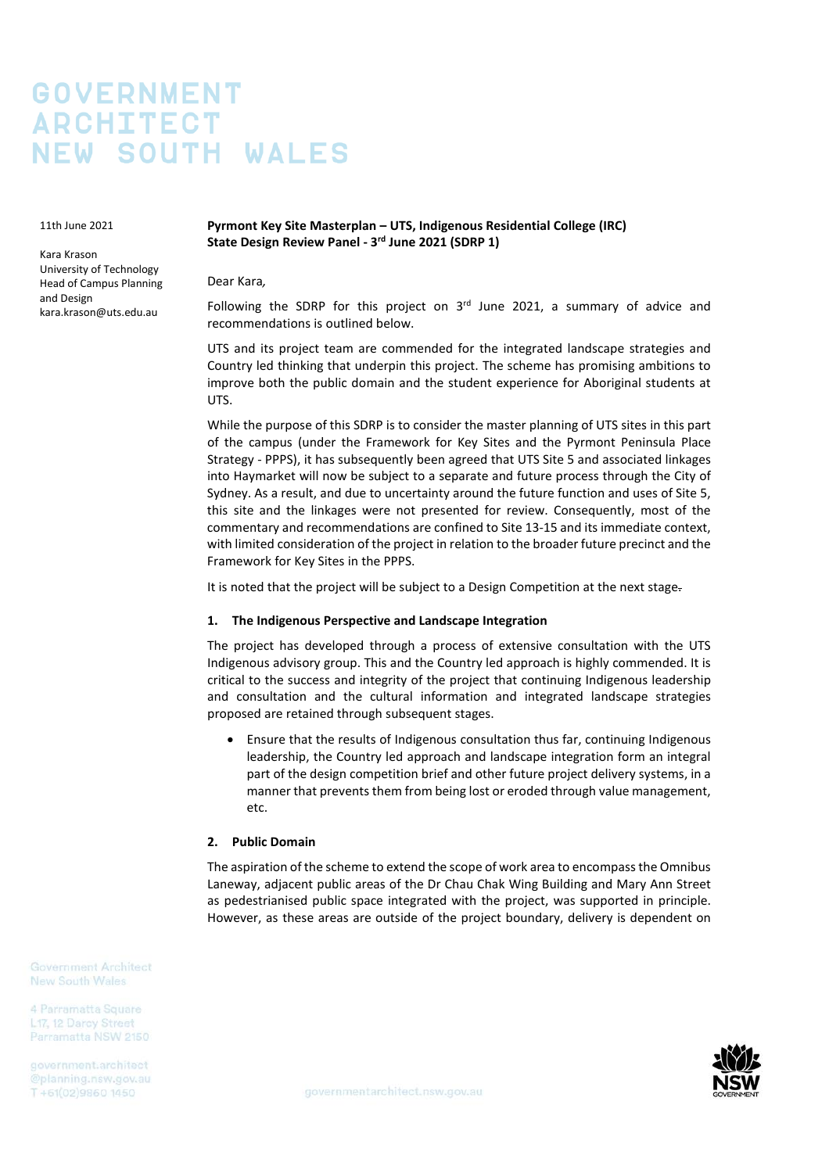# **GOVERNMENT ARCHITECT NEW SOUTH WALES**

11th June 2021

Kara Krason University of Technology Head of Campus Planning and Design kara.krason@uts.edu.au

## **Pyrmont Key Site Masterplan – UTS, Indigenous Residential College (IRC) State Design Review Panel - 3rd June 2021 (SDRP 1)**

Dear Kara*,*

Following the SDRP for this project on  $3<sup>rd</sup>$  June 2021, a summary of advice and recommendations is outlined below.

UTS and its project team are commended for the integrated landscape strategies and Country led thinking that underpin this project. The scheme has promising ambitions to improve both the public domain and the student experience for Aboriginal students at UTS.

While the purpose of this SDRP is to consider the master planning of UTS sites in this part of the campus (under the Framework for Key Sites and the Pyrmont Peninsula Place Strategy - PPPS), it has subsequently been agreed that UTS Site 5 and associated linkages into Haymarket will now be subject to a separate and future process through the City of Sydney. As a result, and due to uncertainty around the future function and uses of Site 5, this site and the linkages were not presented for review. Consequently, most of the commentary and recommendations are confined to Site 13-15 and its immediate context, with limited consideration of the project in relation to the broader future precinct and the Framework for Key Sites in the PPPS.

It is noted that the project will be subject to a Design Competition at the next stage.

## **1. The Indigenous Perspective and Landscape Integration**

The project has developed through a process of extensive consultation with the UTS Indigenous advisory group. This and the Country led approach is highly commended. It is critical to the success and integrity of the project that continuing Indigenous leadership and consultation and the cultural information and integrated landscape strategies proposed are retained through subsequent stages.

• Ensure that the results of Indigenous consultation thus far, continuing Indigenous leadership, the Country led approach and landscape integration form an integral part of the design competition brief and other future project delivery systems, in a manner that prevents them from being lost or eroded through value management, etc.

## **2. Public Domain**

The aspiration of the scheme to extend the scope of work area to encompass the Omnibus Laneway, adjacent public areas of the Dr Chau Chak Wing Building and Mary Ann Street as pedestrianised public space integrated with the project, was supported in principle. However, as these areas are outside of the project boundary, delivery is dependent on

**Government Architect New South Wales** 

L17, 12 Darcy Street Parramatta NSW 2150

government.architect T+61(02)9860 1450

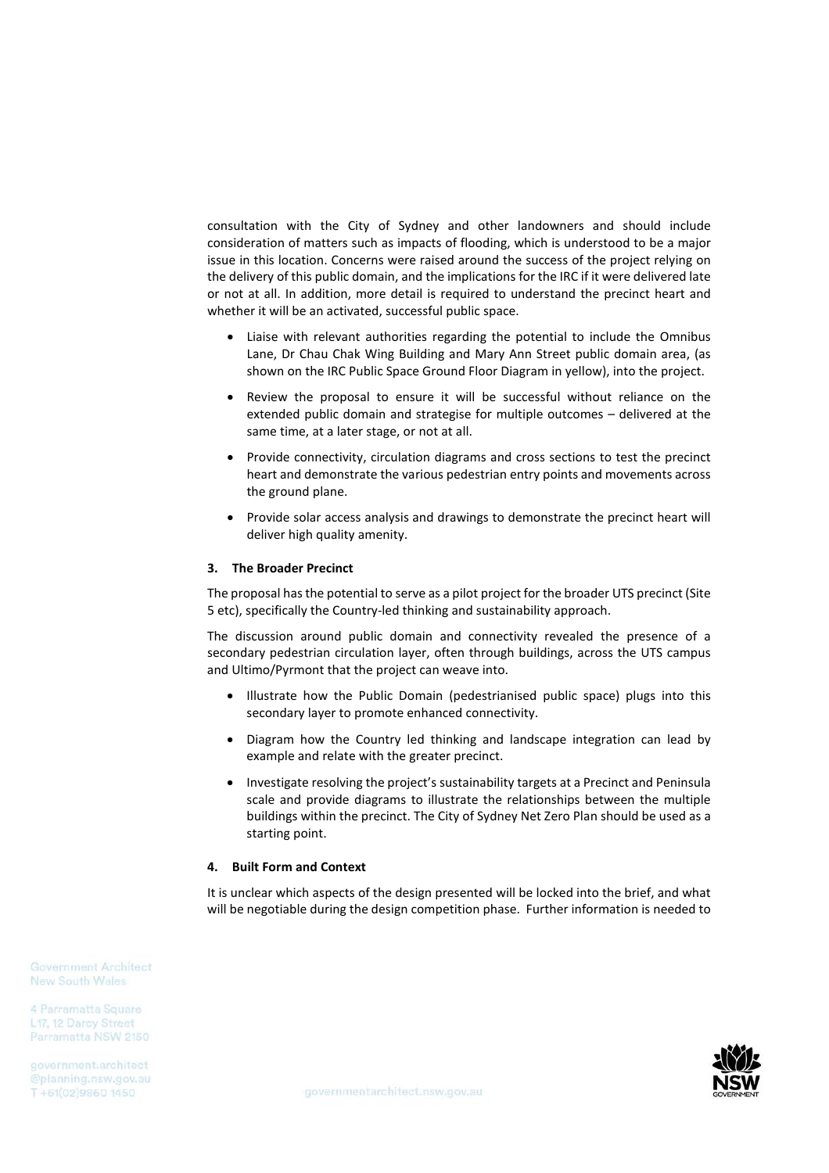consultation with the City of Sydney and other landowners and should include consideration of matters such as impacts of flooding, which is understood to be a major issue in this location. Concerns were raised around the success of the project relying on the delivery of this public domain, and the implications for the IRC if it were delivered late or not at all. In addition, more detail is required to understand the precinct heart and whether it will be an activated, successful public space.

- Liaise with relevant authorities regarding the potential to include the Omnibus Lane, Dr Chau Chak Wing Building and Mary Ann Street public domain area, (as shown on the IRC Public Space Ground Floor Diagram in yellow), into the project.
- Review the proposal to ensure it will be successful without reliance on the extended public domain and strategise for multiple outcomes – delivered at the same time, at a later stage, or not at all.
- Provide connectivity, circulation diagrams and cross sections to test the precinct heart and demonstrate the various pedestrian entry points and movements across the ground plane.
- Provide solar access analysis and drawings to demonstrate the precinct heart will deliver high quality amenity.

#### **3. The Broader Precinct**

The proposal has the potential to serve as a pilot project for the broader UTS precinct (Site 5 etc), specifically the Country-led thinking and sustainability approach.

The discussion around public domain and connectivity revealed the presence of a secondary pedestrian circulation layer, often through buildings, across the UTS campus and Ultimo/Pyrmont that the project can weave into.

- Illustrate how the Public Domain (pedestrianised public space) plugs into this secondary layer to promote enhanced connectivity.
- Diagram how the Country led thinking and landscape integration can lead by example and relate with the greater precinct.
- Investigate resolving the project's sustainability targets at a Precinct and Peninsula scale and provide diagrams to illustrate the relationships between the multiple buildings within the precinct. The City of Sydney Net Zero Plan should be used as a starting point.

#### **4. Built Form and Context**

It is unclear which aspects of the design presented will be locked into the brief, and what will be negotiable during the design competition phase. Further information is needed to

Government Architect **New South Wales** 

4 Parramatta Square L17, 12 Darcy Street Parramatta NSW 2150

government.architect T+61(02)9860 1450

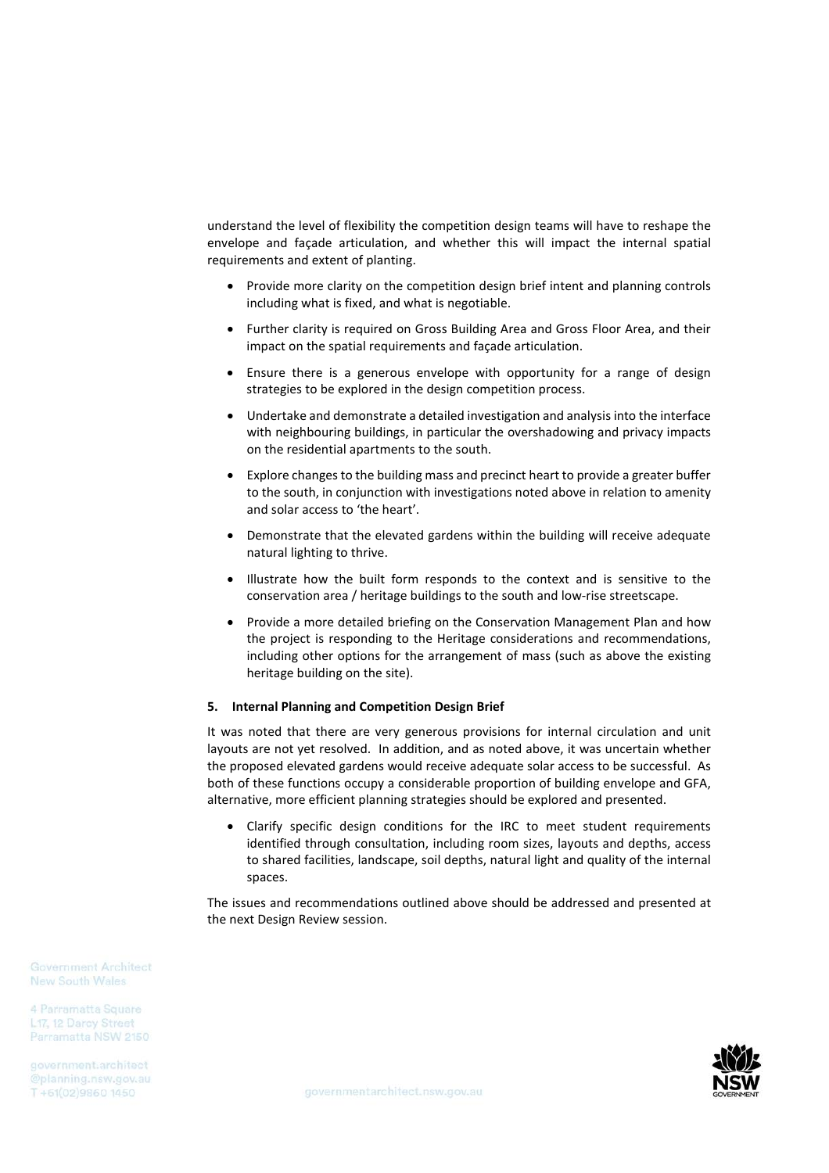understand the level of flexibility the competition design teams will have to reshape the envelope and façade articulation, and whether this will impact the internal spatial requirements and extent of planting.

- Provide more clarity on the competition design brief intent and planning controls including what is fixed, and what is negotiable.
- Further clarity is required on Gross Building Area and Gross Floor Area, and their impact on the spatial requirements and façade articulation.
- Ensure there is a generous envelope with opportunity for a range of design strategies to be explored in the design competition process.
- Undertake and demonstrate a detailed investigation and analysis into the interface with neighbouring buildings, in particular the overshadowing and privacy impacts on the residential apartments to the south.
- Explore changes to the building mass and precinct heart to provide a greater buffer to the south, in conjunction with investigations noted above in relation to amenity and solar access to 'the heart'.
- Demonstrate that the elevated gardens within the building will receive adequate natural lighting to thrive.
- Illustrate how the built form responds to the context and is sensitive to the conservation area / heritage buildings to the south and low-rise streetscape.
- Provide a more detailed briefing on the Conservation Management Plan and how the project is responding to the Heritage considerations and recommendations, including other options for the arrangement of mass (such as above the existing heritage building on the site).

#### **5. Internal Planning and Competition Design Brief**

It was noted that there are very generous provisions for internal circulation and unit layouts are not yet resolved. In addition, and as noted above, it was uncertain whether the proposed elevated gardens would receive adequate solar access to be successful. As both of these functions occupy a considerable proportion of building envelope and GFA, alternative, more efficient planning strategies should be explored and presented.

• Clarify specific design conditions for the IRC to meet student requirements identified through consultation, including room sizes, layouts and depths, access to shared facilities, landscape, soil depths, natural light and quality of the internal spaces.

The issues and recommendations outlined above should be addressed and presented at the next Design Review session.

**Government Architect New South Wales** 

4 Parramatta Square L17, 12 Darcy Street Parramatta NSW 2150

government.architect T+61(02)9860 1450